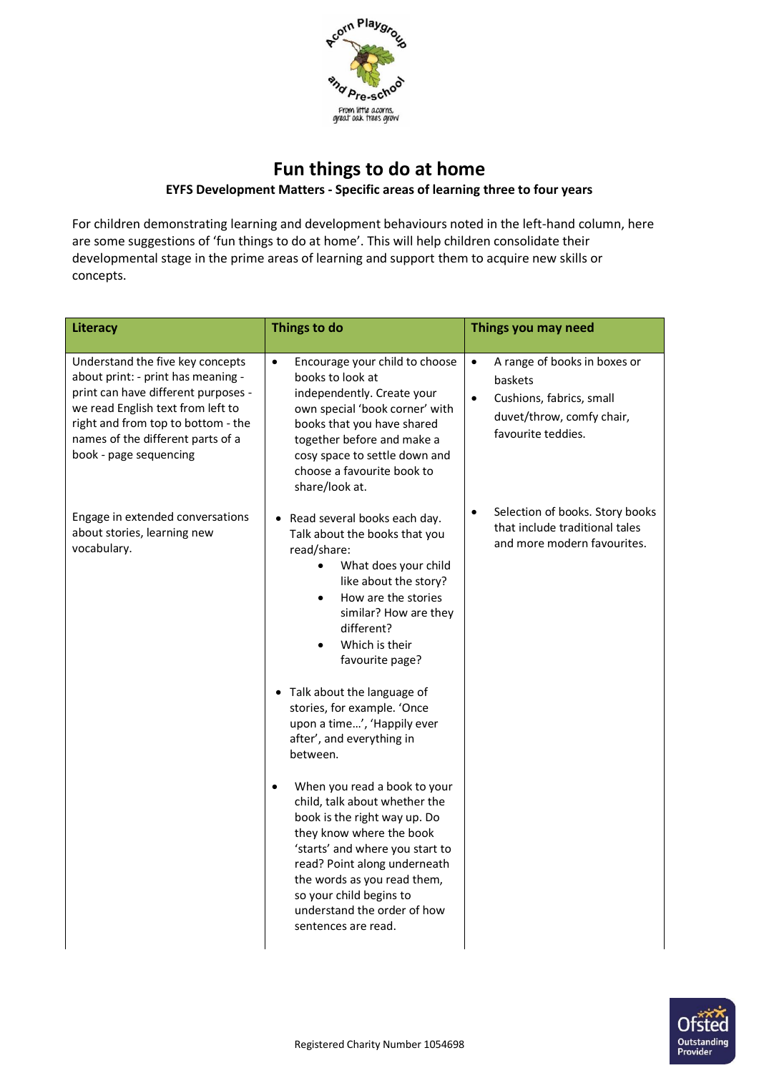

## **Fun things to do at home EYFS Development Matters - Specific areas of learning three to four years**

For children demonstrating learning and development behaviours noted in the left-hand column, here are some suggestions of 'fun things to do at home'. This will help children consolidate their developmental stage in the prime areas of learning and support them to acquire new skills or concepts.

| Literacy                                                                                                                                                                                                                                                | Things to do                                                                                                                                                                                                                                                                                                                                                                                                                                                                                                                                                                                                                                                                                                                     | Things you may need                                                                                                                              |
|---------------------------------------------------------------------------------------------------------------------------------------------------------------------------------------------------------------------------------------------------------|----------------------------------------------------------------------------------------------------------------------------------------------------------------------------------------------------------------------------------------------------------------------------------------------------------------------------------------------------------------------------------------------------------------------------------------------------------------------------------------------------------------------------------------------------------------------------------------------------------------------------------------------------------------------------------------------------------------------------------|--------------------------------------------------------------------------------------------------------------------------------------------------|
| Understand the five key concepts<br>about print: - print has meaning -<br>print can have different purposes -<br>we read English text from left to<br>right and from top to bottom - the<br>names of the different parts of a<br>book - page sequencing | $\bullet$<br>Encourage your child to choose<br>books to look at<br>independently. Create your<br>own special 'book corner' with<br>books that you have shared<br>together before and make a<br>cosy space to settle down and<br>choose a favourite book to<br>share/look at.                                                                                                                                                                                                                                                                                                                                                                                                                                                     | A range of books in boxes or<br>$\bullet$<br>baskets<br>Cushions, fabrics, small<br>$\bullet$<br>duvet/throw, comfy chair,<br>favourite teddies. |
| Engage in extended conversations<br>about stories, learning new<br>vocabulary.                                                                                                                                                                          | • Read several books each day.<br>Talk about the books that you<br>read/share:<br>What does your child<br>$\bullet$<br>like about the story?<br>How are the stories<br>$\bullet$<br>similar? How are they<br>different?<br>Which is their<br>favourite page?<br>• Talk about the language of<br>stories, for example. 'Once<br>upon a time', 'Happily ever<br>after', and everything in<br>between.<br>When you read a book to your<br>$\bullet$<br>child, talk about whether the<br>book is the right way up. Do<br>they know where the book<br>'starts' and where you start to<br>read? Point along underneath<br>the words as you read them,<br>so your child begins to<br>understand the order of how<br>sentences are read. | Selection of books. Story books<br>٠<br>that include traditional tales<br>and more modern favourites.                                            |

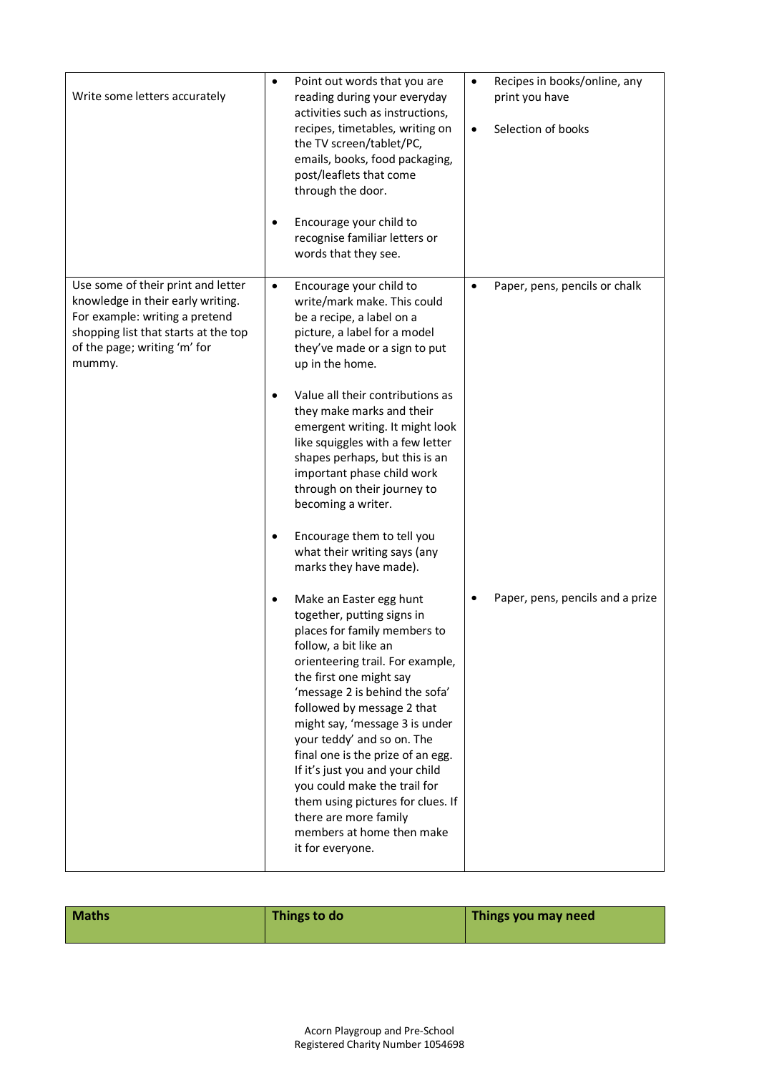| Write some letters accurately                                                                                                                                                               | ٠<br>٠                 | Point out words that you are<br>reading during your everyday<br>activities such as instructions,<br>recipes, timetables, writing on<br>the TV screen/tablet/PC,<br>emails, books, food packaging,<br>post/leaflets that come<br>through the door.<br>Encourage your child to<br>recognise familiar letters or<br>words that they see.                                                                                                                                                                                                | $\bullet$<br>$\bullet$ | Recipes in books/online, any<br>print you have<br>Selection of books |
|---------------------------------------------------------------------------------------------------------------------------------------------------------------------------------------------|------------------------|--------------------------------------------------------------------------------------------------------------------------------------------------------------------------------------------------------------------------------------------------------------------------------------------------------------------------------------------------------------------------------------------------------------------------------------------------------------------------------------------------------------------------------------|------------------------|----------------------------------------------------------------------|
| Use some of their print and letter<br>knowledge in their early writing.<br>For example: writing a pretend<br>shopping list that starts at the top<br>of the page; writing 'm' for<br>mummy. | $\bullet$<br>$\bullet$ | Encourage your child to<br>write/mark make. This could<br>be a recipe, a label on a<br>picture, a label for a model<br>they've made or a sign to put<br>up in the home.<br>Value all their contributions as<br>they make marks and their<br>emergent writing. It might look<br>like squiggles with a few letter<br>shapes perhaps, but this is an<br>important phase child work<br>through on their journey to<br>becoming a writer.<br>Encourage them to tell you<br>what their writing says (any<br>marks they have made).         | $\bullet$              | Paper, pens, pencils or chalk                                        |
|                                                                                                                                                                                             | ٠                      | Make an Easter egg hunt<br>together, putting signs in<br>places for family members to<br>follow, a bit like an<br>orienteering trail. For example,<br>the first one might say<br>'message 2 is behind the sofa'<br>followed by message 2 that<br>might say, 'message 3 is under<br>your teddy' and so on. The<br>final one is the prize of an egg.<br>If it's just you and your child<br>you could make the trail for<br>them using pictures for clues. If<br>there are more family<br>members at home then make<br>it for everyone. |                        | Paper, pens, pencils and a prize                                     |

| <b>Maths</b> | Things to do | Things you may need |
|--------------|--------------|---------------------|
|--------------|--------------|---------------------|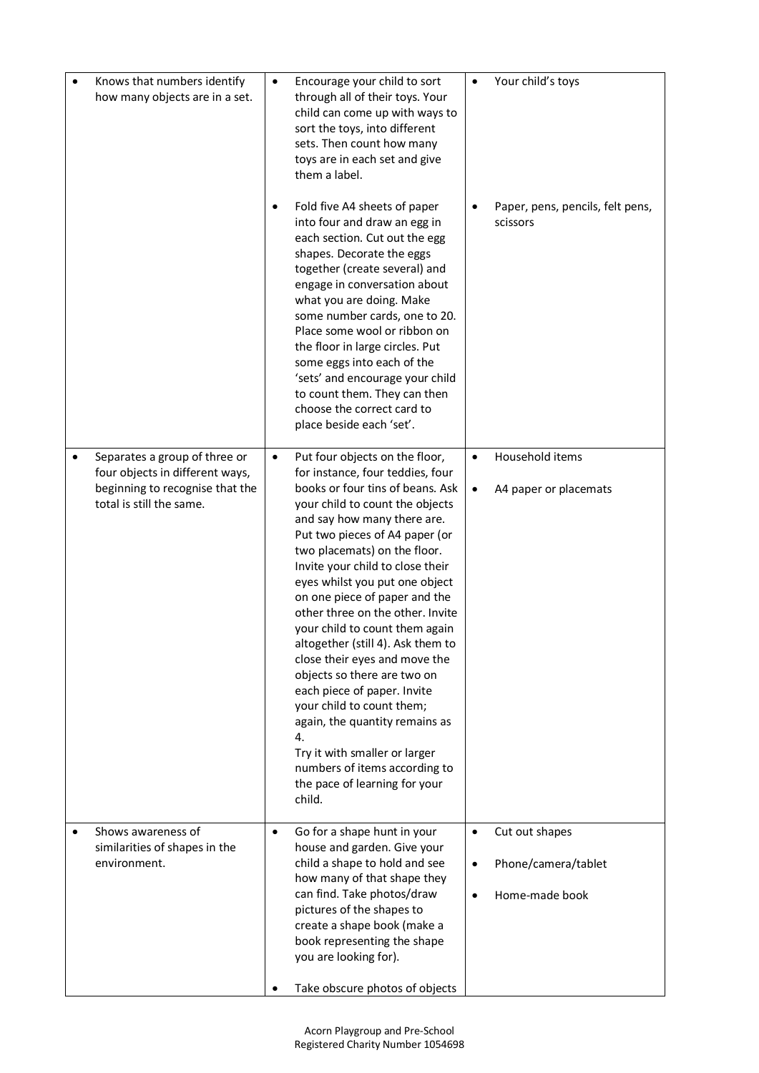| Knows that numbers identify<br>how many objects are in a set.                                                                                | $\bullet$ | Encourage your child to sort<br>through all of their toys. Your<br>child can come up with ways to<br>sort the toys, into different<br>sets. Then count how many<br>toys are in each set and give<br>them a label.                                                                                                                                                                                                                                                                                                                                                                                                                                                                                                                             | $\bullet$                           | Your child's toys                                       |
|----------------------------------------------------------------------------------------------------------------------------------------------|-----------|-----------------------------------------------------------------------------------------------------------------------------------------------------------------------------------------------------------------------------------------------------------------------------------------------------------------------------------------------------------------------------------------------------------------------------------------------------------------------------------------------------------------------------------------------------------------------------------------------------------------------------------------------------------------------------------------------------------------------------------------------|-------------------------------------|---------------------------------------------------------|
|                                                                                                                                              | ٠         | Fold five A4 sheets of paper<br>into four and draw an egg in<br>each section. Cut out the egg<br>shapes. Decorate the eggs<br>together (create several) and<br>engage in conversation about<br>what you are doing. Make<br>some number cards, one to 20.<br>Place some wool or ribbon on<br>the floor in large circles. Put<br>some eggs into each of the<br>'sets' and encourage your child<br>to count them. They can then<br>choose the correct card to<br>place beside each 'set'.                                                                                                                                                                                                                                                        |                                     | Paper, pens, pencils, felt pens,<br>scissors            |
| Separates a group of three or<br>$\bullet$<br>four objects in different ways,<br>beginning to recognise that the<br>total is still the same. | $\bullet$ | Put four objects on the floor,<br>for instance, four teddies, four<br>books or four tins of beans. Ask<br>your child to count the objects<br>and say how many there are.<br>Put two pieces of A4 paper (or<br>two placemats) on the floor.<br>Invite your child to close their<br>eyes whilst you put one object<br>on one piece of paper and the<br>other three on the other. Invite<br>your child to count them again<br>altogether (still 4). Ask them to<br>close their eyes and move the<br>objects so there are two on<br>each piece of paper. Invite<br>your child to count them;<br>again, the quantity remains as<br>4.<br>Try it with smaller or larger<br>numbers of items according to<br>the pace of learning for your<br>child. | $\bullet$<br>$\bullet$              | Household items<br>A4 paper or placemats                |
| Shows awareness of<br>$\bullet$<br>similarities of shapes in the<br>environment.                                                             | $\bullet$ | Go for a shape hunt in your<br>house and garden. Give your<br>child a shape to hold and see<br>how many of that shape they<br>can find. Take photos/draw<br>pictures of the shapes to<br>create a shape book (make a<br>book representing the shape<br>you are looking for).                                                                                                                                                                                                                                                                                                                                                                                                                                                                  | $\bullet$<br>$\bullet$<br>$\bullet$ | Cut out shapes<br>Phone/camera/tablet<br>Home-made book |
|                                                                                                                                              |           | Take obscure photos of objects                                                                                                                                                                                                                                                                                                                                                                                                                                                                                                                                                                                                                                                                                                                |                                     |                                                         |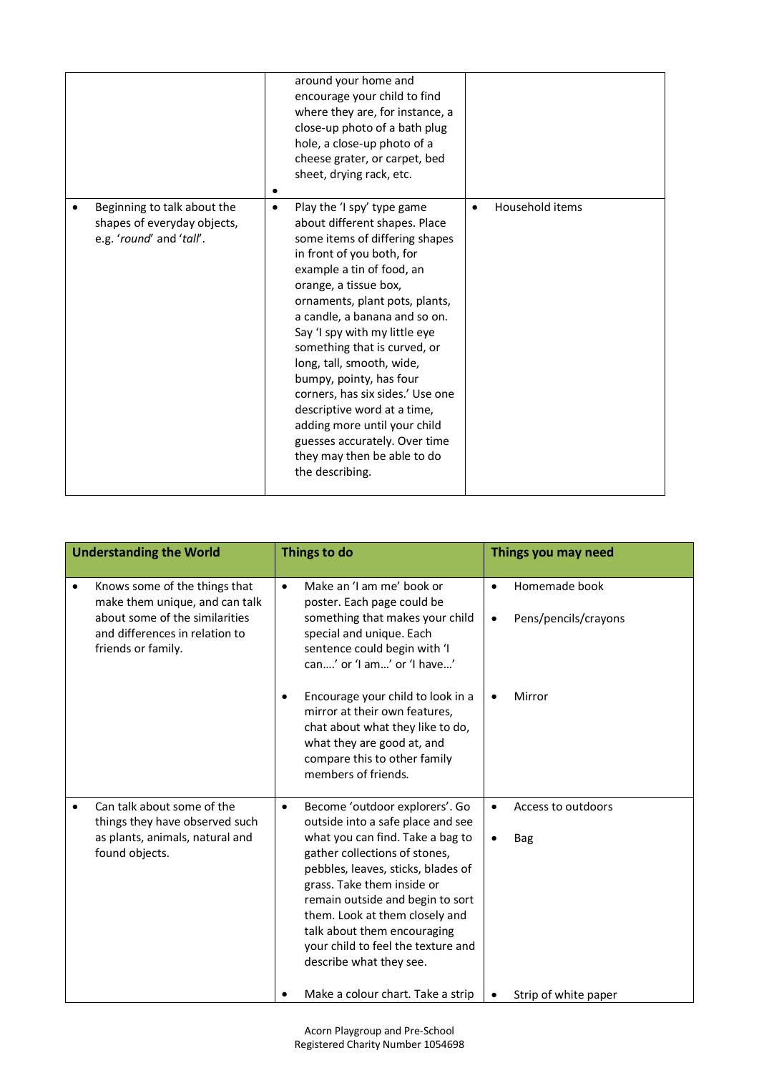|                                                                                        |           | around your home and<br>encourage your child to find<br>where they are, for instance, a<br>close-up photo of a bath plug<br>hole, a close-up photo of a<br>cheese grater, or carpet, bed<br>sheet, drying rack, etc.                                                                                                                                                                                                                                                                                                                                               |           |                 |
|----------------------------------------------------------------------------------------|-----------|--------------------------------------------------------------------------------------------------------------------------------------------------------------------------------------------------------------------------------------------------------------------------------------------------------------------------------------------------------------------------------------------------------------------------------------------------------------------------------------------------------------------------------------------------------------------|-----------|-----------------|
| Beginning to talk about the<br>shapes of everyday objects,<br>e.g. 'round' and 'tall'. | $\bullet$ | Play the 'I spy' type game<br>about different shapes. Place<br>some items of differing shapes<br>in front of you both, for<br>example a tin of food, an<br>orange, a tissue box,<br>ornaments, plant pots, plants,<br>a candle, a banana and so on.<br>Say 'I spy with my little eye<br>something that is curved, or<br>long, tall, smooth, wide,<br>bumpy, pointy, has four<br>corners, has six sides.' Use one<br>descriptive word at a time,<br>adding more until your child<br>guesses accurately. Over time<br>they may then be able to do<br>the describing. | $\bullet$ | Household items |

|           | <b>Understanding the World</b>                                                                                                                            | Things to do |                                                                                                                                                                                                                                                                                                                                                                                    | Things you may need |                                       |  |
|-----------|-----------------------------------------------------------------------------------------------------------------------------------------------------------|--------------|------------------------------------------------------------------------------------------------------------------------------------------------------------------------------------------------------------------------------------------------------------------------------------------------------------------------------------------------------------------------------------|---------------------|---------------------------------------|--|
| $\bullet$ | Knows some of the things that<br>make them unique, and can talk<br>about some of the similarities<br>and differences in relation to<br>friends or family. | $\bullet$    | Make an 'I am me' book or<br>poster. Each page could be<br>something that makes your child<br>special and unique. Each<br>sentence could begin with 'I<br>can' or 'I am' or 'I have'                                                                                                                                                                                               |                     | Homemade book<br>Pens/pencils/crayons |  |
|           |                                                                                                                                                           |              | Encourage your child to look in a<br>mirror at their own features,<br>chat about what they like to do,<br>what they are good at, and<br>compare this to other family<br>members of friends.                                                                                                                                                                                        |                     | Mirror                                |  |
| $\bullet$ | Can talk about some of the<br>things they have observed such<br>as plants, animals, natural and<br>found objects.                                         | $\bullet$    | Become 'outdoor explorers'. Go<br>outside into a safe place and see<br>what you can find. Take a bag to<br>gather collections of stones,<br>pebbles, leaves, sticks, blades of<br>grass. Take them inside or<br>remain outside and begin to sort<br>them. Look at them closely and<br>talk about them encouraging<br>your child to feel the texture and<br>describe what they see. | $\bullet$           | Access to outdoors<br>Bag             |  |
|           |                                                                                                                                                           |              | Make a colour chart. Take a strip                                                                                                                                                                                                                                                                                                                                                  |                     | Strip of white paper                  |  |